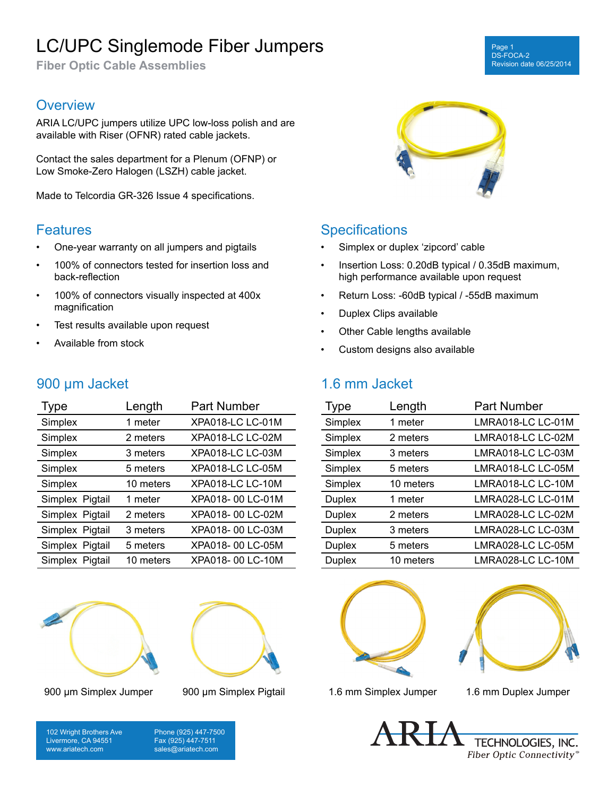# LC/UPC Singlemode Fiber Jumpers

**Fiber Optic Cable Assemblies**

### **Overview**

ARIA LC/UPC jumpers utilize UPC low-loss polish and are available with Riser (OFNR) rated cable jackets.

Contact the sales department for a Plenum (OFNP) or Low Smoke-Zero Halogen (LSZH) cable jacket.

Made to Telcordia GR-326 Issue 4 specifications.

### **Features**

- One-year warranty on all jumpers and pigtails
- 100% of connectors tested for insertion loss and back-reflection
- 100% of connectors visually inspected at 400x magnification
- Test results available upon request
- Available from stock

900 µm Jacket

### Type Length Part Number Simplex 1 meter XPA018-LC LC-01M Simplex 2 meters XPA018-LC LC-02M Simplex 3 meters XPA018-LC LC-03M Simplex 5 meters XPA018-LC LC-05M Simplex 10 meters XPA018-LC LC-10M Simplex Pigtail 1 meter XPA018- 00 LC-01M Simplex Pigtail 2 meters XPA018- 00 LC-02M Simplex Pigtail 3 meters XPA018- 00 LC-03M Simplex Pigtail 5 meters XPA018- 00 LC-05M Simplex Pigtail 10 meters XPA018- 00 LC-10M







Page 1 DS-FOCA-2

Revision date 06/25/2014

### **Specifications**

- Simplex or duplex 'zipcord' cable
- Insertion Loss: 0.20dB typical / 0.35dB maximum, high performance available upon request
- Return Loss: -60dB typical / -55dB maximum
- Duplex Clips available
- Other Cable lengths available
- Custom designs also available

## 1.6 mm Jacket

| <b>Type</b>   | Length    | <b>Part Number</b> |
|---------------|-----------|--------------------|
| Simplex       | 1 meter   | LMRA018-LC LC-01M  |
| Simplex       | 2 meters  | LMRA018-LC LC-02M  |
| Simplex       | 3 meters  | LMRA018-LC LC-03M  |
| Simplex       | 5 meters  | LMRA018-LC LC-05M  |
| Simplex       | 10 meters | LMRA018-LC LC-10M  |
| <b>Duplex</b> | 1 meter   | LMRA028-LC LC-01M  |
| <b>Duplex</b> | 2 meters  | LMRA028-LC LC-02M  |
| <b>Duplex</b> | 3 meters  | LMRA028-LC LC-03M  |
| <b>Duplex</b> | 5 meters  | LMRA028-LC LC-05M  |
| <b>Duplex</b> | 10 meters | LMRA028-LC LC-10M  |





900 µm Simplex Jumper 900 µm Simplex Pigtail 1.6 mm Simplex Jumper 1.6 mm Duplex Jumper

102 Wright Brothers Ave Livermore, CA 94551 www.ariatech.com

Phone (925) 447-7500 Fax (925) 447-7511 sales@ariatech.com

TECHNOLOGIES, INC. Fiber Optic Connectivity®